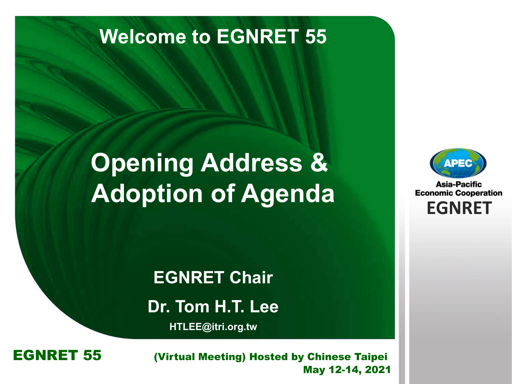### **Welcome to EGNRET 55**

# **Opening Address & Adoption of Agenda**



Asia-Pacific **Economic Cooperation EGNRET EGNRET**

**EGNRET Chair Dr. Tom H.T. Lee**

**HTLEE@itri.org.tw**

**EGNRET 55** *(Virtual Meeting)* Hosted by Chinese Taipei<br>May 12-14, 2021 May 12-14, 2021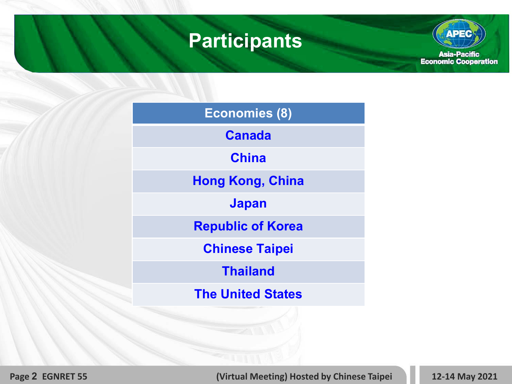### **Participants**

**APEC** Asia-Pacific<br>Economic Cooperation

**Page 2 EGNRET 55 (Virtual Meeting) Hosted by Chinese Taipei 12-14 May 2021**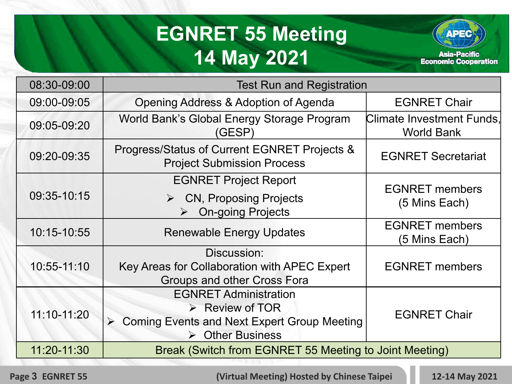## **EGNRET 55 Meeting 14 May 2021**



08:30-09:00 Test Run and Registration 09:00-09:05 | Opening Address & Adoption of Agenda | EGNRET Chair 09:05-09:20 | World Bank's Global Energy Storage Program (GESP) Climate Investment Funds, World Bank 09:20-09:35 | Progress/Status of Current EGNRET Projects & Project Submission Process EGNRET Secretariat 09:35-10:15 EGNRET Project Report  $\triangleright$  CN, Proposing Projects On-going Projects EGNRET members (5 Mins Each) 10:15-10:55 Renewable Energy Updates **EGNRET** members (5 Mins Each) 10:55-11:10 Discussion: Key Areas for Collaboration with APEC Expert Groups and other Cross Fora EGNRET members 11:10-11:20 EGNRET Administration **EXECUTE REVIEW OF TOR**  Coming Events and Next Expert Group Meeting **▶ Other Business** EGNRET Chair 11:20-11:30 Break (Switch from EGNRET 55 Meeting to Joint Meeting)

**Page 3 EGNRET 55 (Virtual Meeting) Hosted by Chinese Taipei 12-14 May 2021**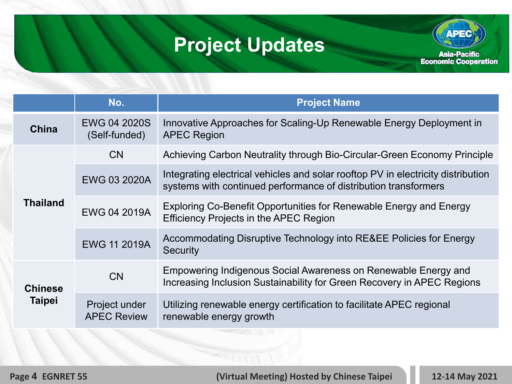# **Project Updates**



|                                 | No.                                  | <b>Project Name</b>                                                                                                                                 |
|---------------------------------|--------------------------------------|-----------------------------------------------------------------------------------------------------------------------------------------------------|
| <b>China</b>                    | <b>EWG 04 2020S</b><br>(Self-funded) | Innovative Approaches for Scaling-Up Renewable Energy Deployment in<br><b>APEC Region</b>                                                           |
| <b>Thailand</b>                 | <b>CN</b>                            | Achieving Carbon Neutrality through Bio-Circular-Green Economy Principle                                                                            |
|                                 | <b>EWG 03 2020A</b>                  | Integrating electrical vehicles and solar rooftop PV in electricity distribution<br>systems with continued performance of distribution transformers |
|                                 | <b>EWG 04 2019A</b>                  | Exploring Co-Benefit Opportunities for Renewable Energy and Energy<br><b>Efficiency Projects in the APEC Region</b>                                 |
|                                 | <b>EWG 11 2019A</b>                  | Accommodating Disruptive Technology into RE&EE Policies for Energy<br><b>Security</b>                                                               |
| <b>Chinese</b><br><b>Taipei</b> | <b>CN</b>                            | Empowering Indigenous Social Awareness on Renewable Energy and<br>Increasing Inclusion Sustainability for Green Recovery in APEC Regions            |
|                                 | Project under<br><b>APEC Review</b>  | Utilizing renewable energy certification to facilitate APEC regional<br>renewable energy growth                                                     |

**Page 4 EGNRET 55 (Virtual Meeting) Hosted by Chinese Taipei 12-14 May 2021**